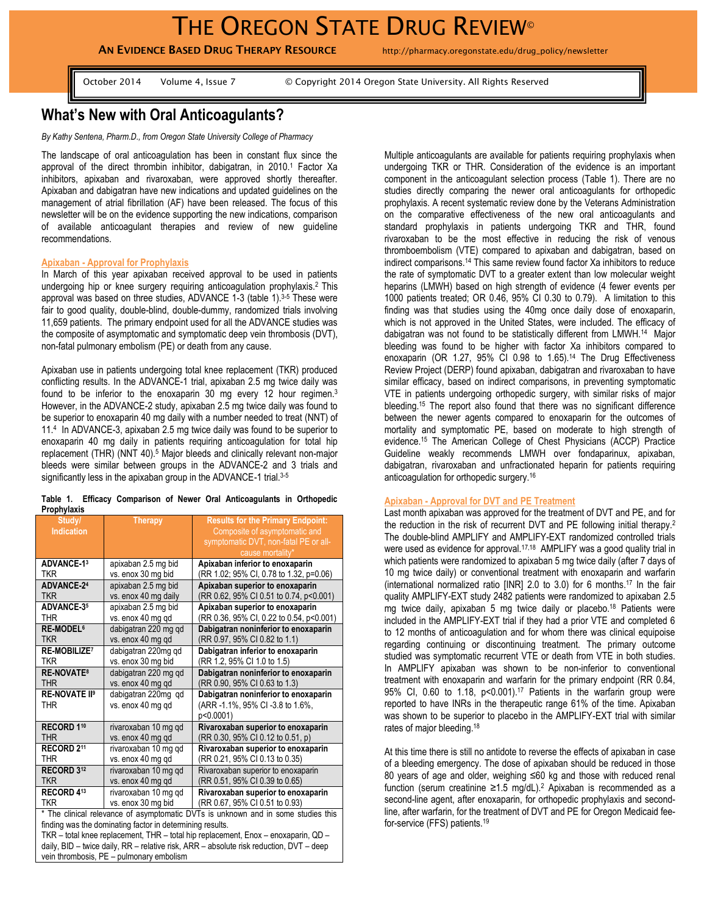# **AN EVIDENCE BASED DRUG THERAPY RESOURCE** http://pharmacy.oregonstate.edu/drug\_policy/newsletter

October 2014 Volume 4, Issue 7 © Copyright 2014 Oregon State University. All Rights Reserved

# **What's New with Oral Anticoagulants?**

*By Kathy Sentena, Pharm.D., from Oregon State University College of Pharmacy* 

The landscape of oral anticoagulation has been in constant flux since the approval of the direct thrombin inhibitor, dabigatran, in 2010.<sup>1</sup> Factor Xa inhibitors, apixaban and rivaroxaban, were approved shortly thereafter. Apixaban and dabigatran have new indications and updated guidelines on the management of atrial fibrillation (AF) have been released. The focus of this newsletter will be on the evidence supporting the new indications, comparison of available anticoagulant therapies and review of new guideline recommendations.

#### **Apixaban - Approval for Prophylaxis**

In March of this year apixaban received approval to be used in patients undergoing hip or knee surgery requiring anticoagulation prophylaxis.<sup>2</sup> This approval was based on three studies, ADVANCE 1-3 (table 1).<sup>3-5</sup> These were fair to good quality, double-blind, double-dummy, randomized trials involving 11,659 patients. The primary endpoint used for all the ADVANCE studies was the composite of asymptomatic and symptomatic deep vein thrombosis (DVT), non-fatal pulmonary embolism (PE) or death from any cause.

Apixaban use in patients undergoing total knee replacement (TKR) produced conflicting results. In the ADVANCE-1 trial, apixaban 2.5 mg twice daily was found to be inferior to the enoxaparin 30 mg every 12 hour regimen.<sup>3</sup> However, in the ADVANCE-2 study, apixaban 2.5 mg twice daily was found to be superior to enoxaparin 40 mg daily with a number needed to treat (NNT) of 11.<sup>4</sup> In ADVANCE-3, apixaban 2.5 mg twice daily was found to be superior to enoxaparin 40 mg daily in patients requiring anticoagulation for total hip replacement (THR) (NNT 40).<sup>5</sup> Major bleeds and clinically relevant non-major bleeds were similar between groups in the ADVANCE-2 and 3 trials and significantly less in the apixaban group in the ADVANCE-1 trial.<sup>3-5</sup>

|             |  |  |  | Table 1. Efficacy Comparison of Newer Oral Anticoagulants in Orthopedic |  |
|-------------|--|--|--|-------------------------------------------------------------------------|--|
| Prophylaxis |  |  |  |                                                                         |  |

| Study/                                                                            | <b>Therapy</b>       | <b>Results for the Primary Endpoint:</b> |  |  |  |
|-----------------------------------------------------------------------------------|----------------------|------------------------------------------|--|--|--|
| <b>Indication</b>                                                                 |                      | Composite of asymptomatic and            |  |  |  |
|                                                                                   |                      | symptomatic DVT, non-fatal PE or all-    |  |  |  |
|                                                                                   |                      | cause mortality*                         |  |  |  |
| <b>ADVANCE-13</b>                                                                 | apixaban 2.5 mg bid  | Apixaban inferior to enoxaparin          |  |  |  |
| <b>TKR</b>                                                                        | vs. enox 30 mg bid   | (RR 1.02; 95% CI, 0.78 to 1.32, p=0.06)  |  |  |  |
| <b>ADVANCE-24</b>                                                                 | apixaban 2.5 mg bid  | Apixaban superior to enoxaparin          |  |  |  |
| <b>TKR</b>                                                                        | vs. enox 40 mg daily | (RR 0.62, 95% CI 0.51 to 0.74, p<0.001)  |  |  |  |
| <b>ADVANCE-35</b>                                                                 | apixaban 2.5 mg bid  | Apixaban superior to enoxaparin          |  |  |  |
| <b>THR</b>                                                                        | vs. enox 40 mg qd    | (RR 0.36, 95% CI, 0.22 to 0.54, p<0.001) |  |  |  |
| RE-MODEL <sup>6</sup>                                                             | dabigatran 220 mg gd | Dabigatran noninferior to enoxaparin     |  |  |  |
| <b>TKR</b>                                                                        | vs. enox 40 mg qd    | (RR 0.97, 95% CI 0.82 to 1.1)            |  |  |  |
| <b>RE-MOBILIZE<sup>7</sup></b>                                                    | dabigatran 220mg qd  | Dabigatran inferior to enoxaparin        |  |  |  |
| <b>TKR</b>                                                                        | vs. enox 30 mg bid   | (RR 1.2, 95% CI 1.0 to 1.5)              |  |  |  |
| <b>RE-NOVATE<sup>8</sup></b>                                                      | dabigatran 220 mg qd | Dabigatran noninferior to enoxaparin     |  |  |  |
| <b>THR</b>                                                                        | vs. enox 40 mg qd    | (RR 0.90, 95% CI 0.63 to 1.3)            |  |  |  |
| <b>RE-NOVATE II9</b>                                                              | dabigatran 220mg qd  | Dabigatran noninferior to enoxaparin     |  |  |  |
| <b>THR</b>                                                                        | vs. enox 40 mg qd    | (ARR -1.1%, 95% CI -3.8 to 1.6%,         |  |  |  |
|                                                                                   |                      | p<0.0001)                                |  |  |  |
| RECORD 110                                                                        | rivaroxaban 10 mg qd | Rivaroxaban superior to enoxaparin       |  |  |  |
| <b>THR</b>                                                                        | vs. enox 40 mg qd    | (RR 0.30, 95% CI 0.12 to 0.51, p)        |  |  |  |
| RECORD <sub>211</sub>                                                             | rivaroxaban 10 mg qd | Rivaroxaban superior to enoxaparin       |  |  |  |
| THR                                                                               | vs. enox 40 mg qd    | (RR 0.21, 95% CI 0.13 to 0.35)           |  |  |  |
| RECORD 312                                                                        | rivaroxaban 10 mg qd | Rivaroxaban superior to enoxaparin       |  |  |  |
| <b>TKR</b>                                                                        | vs. enox 40 mg qd    | (RR 0.51, 95% CI 0.39 to 0.65)           |  |  |  |
| RECORD 413                                                                        | rivaroxaban 10 mg qd | Rivaroxaban superior to enoxaparin       |  |  |  |
| <b>TKR</b>                                                                        | vs. enox 30 mg bid   | (RR 0.67, 95% CI 0.51 to 0.93)           |  |  |  |
| * The clinical relevance of asymptomatic DVTs is unknown and in some studies this |                      |                                          |  |  |  |
| finding was the dominating factor in determining results.                         |                      |                                          |  |  |  |

TKR – total knee replacement, THR – total hip replacement, Enox – enoxaparin, QD – daily, BID – twice daily, RR – relative risk, ARR – absolute risk reduction, DVT – deep vein thrombosis, PE – pulmonary embolism

Multiple anticoagulants are available for patients requiring prophylaxis when undergoing TKR or THR. Consideration of the evidence is an important component in the anticoagulant selection process (Table 1). There are no studies directly comparing the newer oral anticoagulants for orthopedic prophylaxis. A recent systematic review done by the Veterans Administration on the comparative effectiveness of the new oral anticoagulants and standard prophylaxis in patients undergoing TKR and THR, found rivaroxaban to be the most effective in reducing the risk of venous thromboembolism (VTE) compared to apixaban and dabigatran, based on indirect comparisons.<sup>14</sup> This same review found factor Xa inhibitors to reduce the rate of symptomatic DVT to a greater extent than low molecular weight heparins (LMWH) based on high strength of evidence (4 fewer events per 1000 patients treated; OR 0.46, 95% CI 0.30 to 0.79). A limitation to this finding was that studies using the 40mg once daily dose of enoxaparin, which is not approved in the United States, were included. The efficacy of dabigatran was not found to be statistically different from LMWH.<sup>14</sup> Major bleeding was found to be higher with factor Xa inhibitors compared to enoxaparin (OR 1.27, 95% CI 0.98 to 1.65).<sup>14</sup> The Drug Effectiveness Review Project (DERP) found apixaban, dabigatran and rivaroxaban to have similar efficacy, based on indirect comparisons, in preventing symptomatic VTE in patients undergoing orthopedic surgery, with similar risks of major bleeding. <sup>15</sup> The report also found that there was no significant difference between the newer agents compared to enoxaparin for the outcomes of mortality and symptomatic PE, based on moderate to high strength of evidence.<sup>15</sup> The American College of Chest Physicians (ACCP) Practice Guideline weakly recommends LMWH over fondaparinux, apixaban, dabigatran, rivaroxaban and unfractionated heparin for patients requiring anticoagulation for orthopedic surgery.<sup>16</sup>

#### **Apixaban - Approval for DVT and PE Treatment**

Last month apixaban was approved for the treatment of DVT and PE, and for the reduction in the risk of recurrent DVT and PE following initial therapy.<sup>2</sup> The double-blind AMPLIFY and AMPLIFY-EXT randomized controlled trials were used as evidence for approval.<sup>17,18</sup> AMPLIFY was a good quality trial in which patients were randomized to apixaban 5 mg twice daily (after 7 days of 10 mg twice daily) or conventional treatment with enoxaparin and warfarin (international normalized ratio [INR] 2.0 to 3.0) for 6 months. <sup>17</sup> In the fair quality AMPLIFY-EXT study 2482 patients were randomized to apixaban 2.5 mg twice daily, apixaban 5 mg twice daily or placebo. <sup>18</sup> Patients were included in the AMPLIFY-EXT trial if they had a prior VTE and completed 6 to 12 months of anticoagulation and for whom there was clinical equipoise regarding continuing or discontinuing treatment. The primary outcome studied was symptomatic recurrent VTE or death from VTE in both studies. In AMPLIFY apixaban was shown to be non-inferior to conventional treatment with enoxaparin and warfarin for the primary endpoint (RR 0.84, 95% CI, 0.60 to 1.18, p<0.001).<sup>17</sup> Patients in the warfarin group were reported to have INRs in the therapeutic range 61% of the time. Apixaban was shown to be superior to placebo in the AMPLIFY-EXT trial with similar rates of major bleeding.<sup>18</sup>

At this time there is still no antidote to reverse the effects of apixaban in case of a bleeding emergency. The dose of apixaban should be reduced in those 80 years of age and older, weighing ≤60 kg and those with reduced renal function (serum creatinine ≥1.5 mg/dL).<sup>2</sup> Apixaban is recommended as a second-line agent, after enoxaparin, for orthopedic prophylaxis and secondline, after warfarin, for the treatment of DVT and PE for Oregon Medicaid feefor-service (FFS) patients.19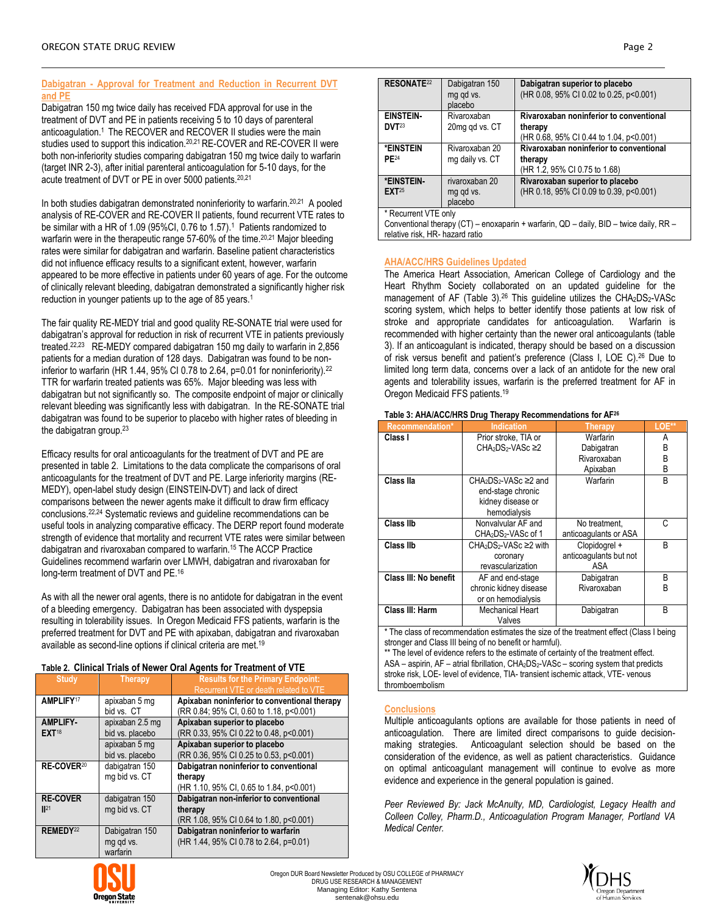## **Dabigatran - Approval for Treatment and Reduction in Recurrent DVT and PE**

Dabigatran 150 mg twice daily has received FDA approval for use in the treatment of DVT and PE in patients receiving 5 to 10 days of parenteral anticoagulation.<sup>1</sup> The RECOVER and RECOVER II studies were the main studies used to support this indication.20,21 RE-COVER and RE-COVER II were both non-inferiority studies comparing dabigatran 150 mg twice daily to warfarin (target INR 2-3), after initial parenteral anticoagulation for 5-10 days, for the acute treatment of DVT or PE in over 5000 patients.20,21

In both studies dabigatran demonstrated noninferiority to warfarin.<sup>20,21</sup> A pooled analysis of RE-COVER and RE-COVER II patients, found recurrent VTE rates to be similar with a HR of 1.09 (95%CI, 0.76 to 1.57).<sup>1</sup> Patients randomized to warfarin were in the therapeutic range 57-60% of the time.<sup>20,21</sup> Major bleeding rates were similar for dabigatran and warfarin. Baseline patient characteristics did not influence efficacy results to a significant extent, however, warfarin appeared to be more effective in patients under 60 years of age. For the outcome of clinically relevant bleeding, dabigatran demonstrated a significantly higher risk reduction in younger patients up to the age of 85 years.<sup>1</sup>

The fair quality RE-MEDY trial and good quality RE-SONATE trial were used for dabigatran's approval for reduction in risk of recurrent VTE in patients previously treated. 22,23 RE-MEDY compared dabigatran 150 mg daily to warfarin in 2,856 patients for a median duration of 128 days. Dabigatran was found to be noninferior to warfarin (HR 1.44, 95% CI 0.78 to 2.64, p=0.01 for noninferiority).<sup>22</sup> TTR for warfarin treated patients was 65%. Major bleeding was less with dabigatran but not significantly so. The composite endpoint of major or clinically relevant bleeding was significantly less with dabigatran. In the RE-SONATE trial dabigatran was found to be superior to placebo with higher rates of bleeding in the dabigatran group.<sup>23</sup>

Efficacy results for oral anticoagulants for the treatment of DVT and PE are presented in table 2. Limitations to the data complicate the comparisons of oral anticoagulants for the treatment of DVT and PE. Large inferiority margins (RE-MEDY), open-label study design (EINSTEIN-DVT) and lack of direct comparisons between the newer agents make it difficult to draw firm efficacy conclusions.22,24 Systematic reviews and guideline recommendations can be useful tools in analyzing comparative efficacy. The DERP report found moderate strength of evidence that mortality and recurrent VTE rates were similar between dabigatran and rivaroxaban compared to warfarin.<sup>15</sup> The ACCP Practice Guidelines recommend warfarin over LMWH, dabigatran and rivaroxaban for long-term treatment of DVT and PE.<sup>16</sup>

As with all the newer oral agents, there is no antidote for dabigatran in the event of a bleeding emergency. Dabigatran has been associated with dyspepsia resulting in tolerability issues. In Oregon Medicaid FFS patients, warfarin is the preferred treatment for DVT and PE with apixaban, dabigatran and rivaroxaban available as second-line options if clinical criteria are met.<sup>19</sup>

# **Table 2. Clinical Trials of Newer Oral Agents for Treatment of VTE**

| Table 2. Olimbar Thais Of Nowel Oral Agents for Treatment Of Vie |                 |                                              |  |  |  |  |
|------------------------------------------------------------------|-----------------|----------------------------------------------|--|--|--|--|
| <b>Study</b>                                                     | <b>Therapy</b>  | <b>Results for the Primary Endpoint:</b>     |  |  |  |  |
|                                                                  |                 | Recurrent VTE or death related to VTE        |  |  |  |  |
| <b>AMPLIFY17</b>                                                 | apixaban 5 mg   | Apixaban noninferior to conventional therapy |  |  |  |  |
|                                                                  | bid vs. CT      | (RR 0.84; 95% CI, 0.60 to 1.18, p<0.001)     |  |  |  |  |
| <b>AMPLIFY-</b>                                                  | apixaban 2.5 mg | Apixaban superior to placebo                 |  |  |  |  |
| <b>EXT18</b>                                                     | bid vs. placebo | (RR 0.33, 95% CI 0.22 to 0.48, p<0.001)      |  |  |  |  |
|                                                                  | apixaban 5 mg   | Apixaban superior to placebo                 |  |  |  |  |
|                                                                  | bid vs. placebo | (RR 0.36, 95% CI 0.25 to 0.53, p<0.001)      |  |  |  |  |
| RE-COVER <sup>20</sup>                                           | dabigatran 150  | Dabigatran noninferior to conventional       |  |  |  |  |
|                                                                  | mg bid vs. CT   | therapy                                      |  |  |  |  |
|                                                                  |                 | (HR 1.10, 95% CI, 0.65 to 1.84, p<0.001)     |  |  |  |  |
| <b>RE-COVER</b>                                                  | dabigatran 150  | Dabigatran non-inferior to conventional      |  |  |  |  |
| II <sup>21</sup>                                                 | mg bid vs. CT   | therapy                                      |  |  |  |  |
|                                                                  |                 | (RR 1.08, 95% CI 0.64 to 1.80, p<0.001)      |  |  |  |  |
| REMEDY <sup>22</sup>                                             | Dabigatran 150  | Dabigatran noninferior to warfarin           |  |  |  |  |
|                                                                  | mg qd vs.       | (HR 1.44, 95% CI 0.78 to 2.64, p=0.01)       |  |  |  |  |
|                                                                  | warfarin        |                                              |  |  |  |  |



Conventional therapy (CT) – enoxaparin + warfarin, QD – daily, BID – twice daily, RR – relative risk, HR- hazard ratio

## **AHA/ACC/HRS Guidelines Updated**

The America Heart Association, American College of Cardiology and the Heart Rhythm Society collaborated on an updated guideline for the management of AF (Table 3).<sup>26</sup> This guideline utilizes the CHA2DS2-VASc scoring system, which helps to better identify those patients at low risk of stroke and appropriate candidates for anticoagulation. Warfarin is recommended with higher certainty than the newer oral anticoagulants (table 3). If an anticoagulant is indicated, therapy should be based on a discussion of risk versus benefit and patient's preference (Class I, LOE C).<sup>26</sup> Due to limited long term data, concerns over a lack of an antidote for the new oral agents and tolerability issues, warfarin is the preferred treatment for AF in Oregon Medicaid FFS patients.<sup>19</sup>

#### **Table 3: AHA/ACC/HRS Drug Therapy Recommendations for AF<sup>26</sup>**

| <b>Recommendation*</b>       | <b>Indication</b>                                         | Therapy                | LOE** |
|------------------------------|-----------------------------------------------------------|------------------------|-------|
| Class I                      | Prior stroke. TIA or                                      | Warfarin               | Α     |
|                              | CHA <sub>2</sub> DS <sub>2</sub> -VAS <sub>c</sub> ≥2     | Dabigatran             | B     |
|                              |                                                           | Rivaroxaban            | B     |
|                              |                                                           | Apixaban               | B     |
| Class IIa                    | CHA <sub>2</sub> DS <sub>2</sub> -VAS <sub>c</sub> ≥2 and | Warfarin               | B     |
|                              | end-stage chronic                                         |                        |       |
|                              | kidney disease or                                         |                        |       |
|                              | hemodialysis                                              |                        |       |
| Class IIb                    | Nonvalvular AF and                                        | No treatment,          | С     |
|                              | CHA <sub>2</sub> DS <sub>2</sub> -VASc of 1               | anticoagulants or ASA  |       |
| Class IIb                    | CHA <sub>2</sub> DS <sub>2</sub> -VASc ≥2 with            | Clopidogrel +          | B     |
|                              | coronary                                                  | anticoaqulants but not |       |
|                              | revascularization                                         | ASA                    |       |
| <b>Class III: No benefit</b> | AF and end-stage                                          | Dabigatran             | B     |
|                              | chronic kidney disease                                    | Rivaroxaban            | B     |
|                              | or on hemodialysis                                        |                        |       |
| Class III: Harm              | <b>Mechanical Heart</b>                                   | Dabigatran             | B     |
| $\sim$ $\sim$ $\sim$         | Valves                                                    | .                      |       |

\* The class of recommendation estimates the size of the treatment effect (Class I being stronger and Class III being of no benefit or harmful).

\*\* The level of evidence refers to the estimate of certainty of the treatment effect.  $ASA - aspirin$ ,  $AF - atrial fibrillation$ ,  $CHA<sub>2</sub>DS<sub>2</sub>-VASC - scoring system that predicts$ stroke risk, LOE- level of evidence, TIA- transient ischemic attack, VTE- venous thromboembolism

### **Conclusions**

Multiple anticoagulants options are available for those patients in need of anticoagulation. There are limited direct comparisons to guide decisionmaking strategies. Anticoagulant selection should be based on the consideration of the evidence, as well as patient characteristics. Guidance on optimal anticoagulant management will continue to evolve as more evidence and experience in the general population is gained.

*Peer Reviewed By: Jack McAnulty, MD, Cardiologist, Legacy Health and Colleen Colley, Pharm.D., Anticoagulation Program Manager, Portland VA Medical Center.*